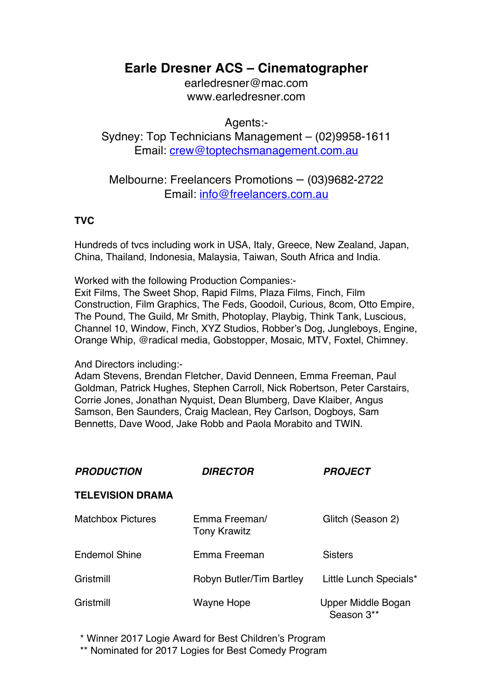# **Earle Dresner ACS – Cinematographer**

earledresner@mac.com www.earledresner.com

Agents:-

Sydney: Top Technicians Management – (02)9958-1611 Email: crew@toptechsmanagement.com.au

## Melbourne: Freelancers Promotions – (03)9682-2722 Email: info@freelancers.com.au

## **TVC**

Hundreds of tvcs including work in USA, Italy, Greece, New Zealand, Japan, China, Thailand, Indonesia, Malaysia, Taiwan, South Africa and India.

Worked with the following Production Companies:-

Exit Films, The Sweet Shop, Rapid Films, Plaza Films, Finch, Film Construction, Film Graphics, The Feds, Goodoil, Curious, 8com, Otto Empire, The Pound, The Guild, Mr Smith, Photoplay, Playbig, Think Tank, Luscious, Channel 10, Window, Finch, XYZ Studios, Robber's Dog, Jungleboys, Engine, Orange Whip, @radical media, Gobstopper, Mosaic, MTV, Foxtel, Chimney.

## And Directors including:-

Adam Stevens, Brendan Fletcher, David Denneen, Emma Freeman, Paul Goldman, Patrick Hughes, Stephen Carroll, Nick Robertson, Peter Carstairs, Corrie Jones, Jonathan Nyquist, Dean Blumberg, Dave Klaiber, Angus Samson, Ben Saunders, Craig Maclean, Rey Carlson, Dogboys, Sam Bennetts, Dave Wood, Jake Robb and Paola Morabito and TWIN.

| <b>PRODUCTION</b>        | <b>DIRECTOR</b>                      | <b>PROJECT</b>                   |
|--------------------------|--------------------------------------|----------------------------------|
| <b>TELEVISION DRAMA</b>  |                                      |                                  |
| <b>Matchbox Pictures</b> | Emma Freeman/<br><b>Tony Krawitz</b> | Glitch (Season 2)                |
| <b>Endemol Shine</b>     | Emma Freeman                         | <b>Sisters</b>                   |
| Gristmill                | Robyn Butler/Tim Bartley             | Little Lunch Specials*           |
| Gristmill                | Wayne Hope                           | Upper Middle Bogan<br>Season 3** |

\* Winner 2017 Logie Award for Best Children's Program

\*\* Nominated for 2017 Logies for Best Comedy Program